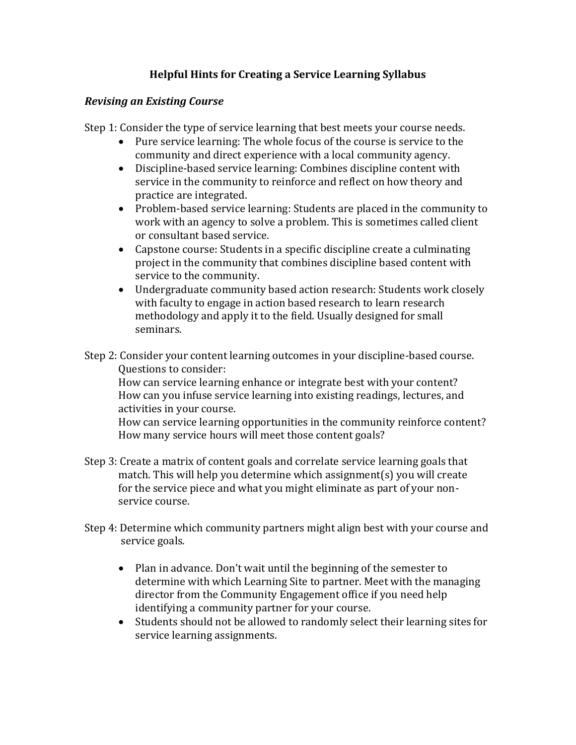## **Helpful Hints for Creating a Service Learning Syllabus**

## *Revising an Existing Course*

Step 1: Consider the type of service learning that best meets your course needs.

- Pure service learning: The whole focus of the course is service to the community and direct experience with a local community agency.
- Discipline-based service learning: Combines discipline content with service in the community to reinforce and reflect on how theory and practice are integrated.
- Problem-based service learning: Students are placed in the community to work with an agency to solve a problem. This is sometimes called client or consultant based service.
- Capstone course: Students in a specific discipline create a culminating project in the community that combines discipline based content with service to the community.
- Undergraduate community based action research: Students work closely with faculty to engage in action based research to learn research methodology and apply it to the field. Usually designed for small seminars.
- Step 2: Consider your content learning outcomes in your discipline-based course. Questions to consider:

How can service learning enhance or integrate best with your content? How can you infuse service learning into existing readings, lectures, and activities in your course.

How can service learning opportunities in the community reinforce content? How many service hours will meet those content goals?

- Step 3: Create a matrix of content goals and correlate service learning goals that match. This will help you determine which assignment(s) you will create for the service piece and what you might eliminate as part of your nonservice course.
- Step 4: Determine which community partners might align best with your course and service goals.
	- Plan in advance. Don't wait until the beginning of the semester to determine with which Learning Site to partner. Meet with the managing director from the Community Engagement office if you need help identifying a community partner for your course.
	- Students should not be allowed to randomly select their learning sites for service learning assignments.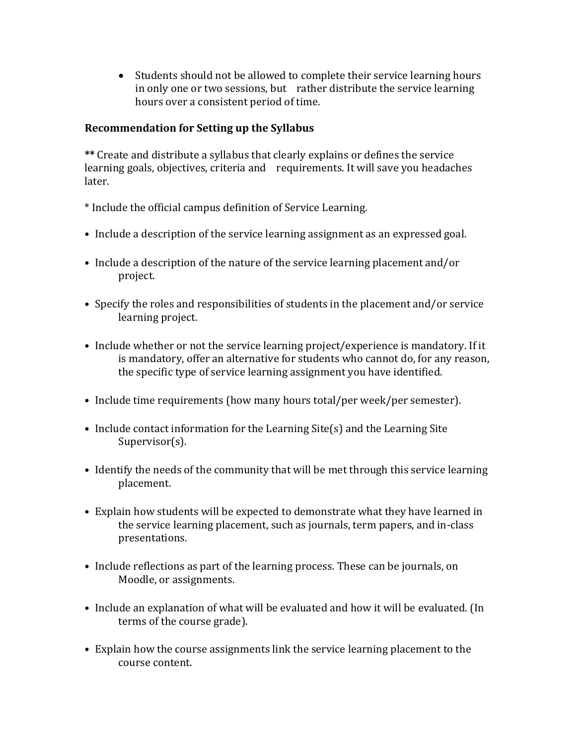Students should not be allowed to complete their service learning hours in only one or two sessions, but rather distribute the service learning hours over a consistent period of time.

## **Recommendation for Setting up the Syllabus**

**\*\*** Create and distribute a syllabus that clearly explains or defines the service learning goals, objectives, criteria and requirements. It will save you headaches later.

- \* Include the official campus definition of Service Learning.
- Include a description of the service learning assignment as an expressed goal.
- Include a description of the nature of the service learning placement and/or project.
- Specify the roles and responsibilities of students in the placement and/or service learning project.
- Include whether or not the service learning project/experience is mandatory. If it is mandatory, offer an alternative for students who cannot do, for any reason, the specific type of service learning assignment you have identified.
- Include time requirements (how many hours total/per week/per semester).
- Include contact information for the Learning Site(s) and the Learning Site Supervisor(s).
- Identify the needs of the community that will be met through this service learning placement.
- Explain how students will be expected to demonstrate what they have learned in the service learning placement, such as journals, term papers, and in-class presentations.
- Include reflections as part of the learning process. These can be journals, on Moodle, or assignments.
- Include an explanation of what will be evaluated and how it will be evaluated. (In terms of the course grade).
- Explain how the course assignments link the service learning placement to the course content.